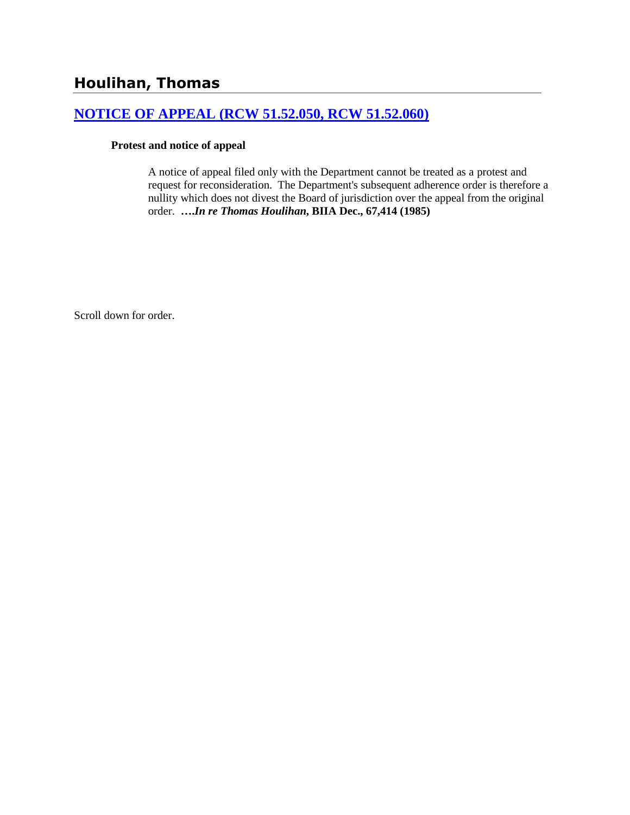## **[NOTICE OF APPEAL \(RCW 51.52.050, RCW 51.52.060\)](http://www.biia.wa.gov/SDSubjectIndex.html#NOTICE_OF_APPEAL)**

#### **Protest and notice of appeal**

A notice of appeal filed only with the Department cannot be treated as a protest and request for reconsideration. The Department's subsequent adherence order is therefore a nullity which does not divest the Board of jurisdiction over the appeal from the original order. **….***In re Thomas Houlihan***, BIIA Dec., 67,414 (1985)** 

Scroll down for order.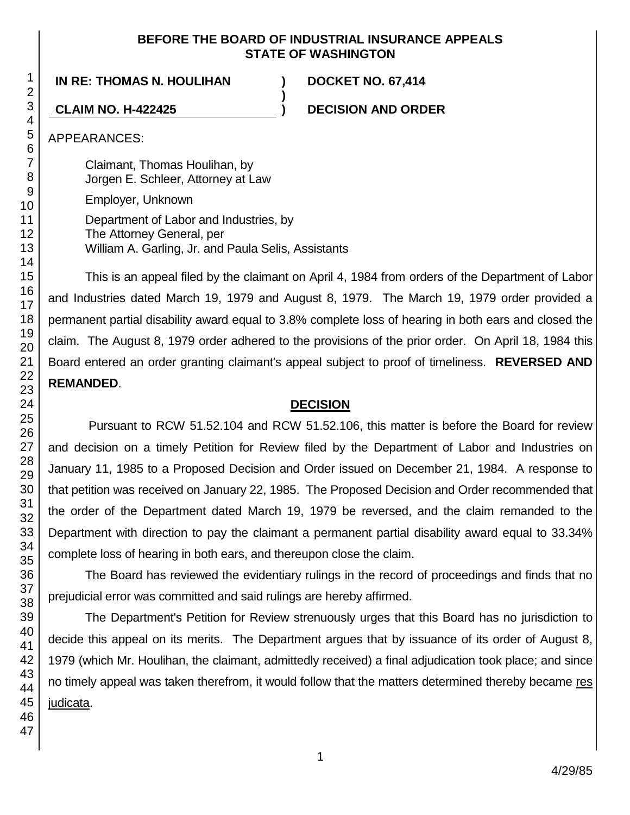#### **BEFORE THE BOARD OF INDUSTRIAL INSURANCE APPEALS STATE OF WASHINGTON**

**)**

## **IN RE: THOMAS N. HOULIHAN ) DOCKET NO. 67,414**

**CLAIM NO. H-422425 ) DECISION AND ORDER**

APPEARANCES:

Claimant, Thomas Houlihan, by Jorgen E. Schleer, Attorney at Law

Employer, Unknown

Department of Labor and Industries, by The Attorney General, per William A. Garling, Jr. and Paula Selis, Assistants

This is an appeal filed by the claimant on April 4, 1984 from orders of the Department of Labor and Industries dated March 19, 1979 and August 8, 1979. The March 19, 1979 order provided a permanent partial disability award equal to 3.8% complete loss of hearing in both ears and closed the claim. The August 8, 1979 order adhered to the provisions of the prior order. On April 18, 1984 this Board entered an order granting claimant's appeal subject to proof of timeliness. **REVERSED AND REMANDED**.

### **DECISION**

Pursuant to RCW 51.52.104 and RCW 51.52.106, this matter is before the Board for review and decision on a timely Petition for Review filed by the Department of Labor and Industries on January 11, 1985 to a Proposed Decision and Order issued on December 21, 1984. A response to that petition was received on January 22, 1985. The Proposed Decision and Order recommended that the order of the Department dated March 19, 1979 be reversed, and the claim remanded to the Department with direction to pay the claimant a permanent partial disability award equal to 33.34% complete loss of hearing in both ears, and thereupon close the claim.

The Board has reviewed the evidentiary rulings in the record of proceedings and finds that no prejudicial error was committed and said rulings are hereby affirmed.

The Department's Petition for Review strenuously urges that this Board has no jurisdiction to decide this appeal on its merits. The Department argues that by issuance of its order of August 8, 1979 (which Mr. Houlihan, the claimant, admittedly received) a final adjudication took place; and since no timely appeal was taken therefrom, it would follow that the matters determined thereby became res judicata.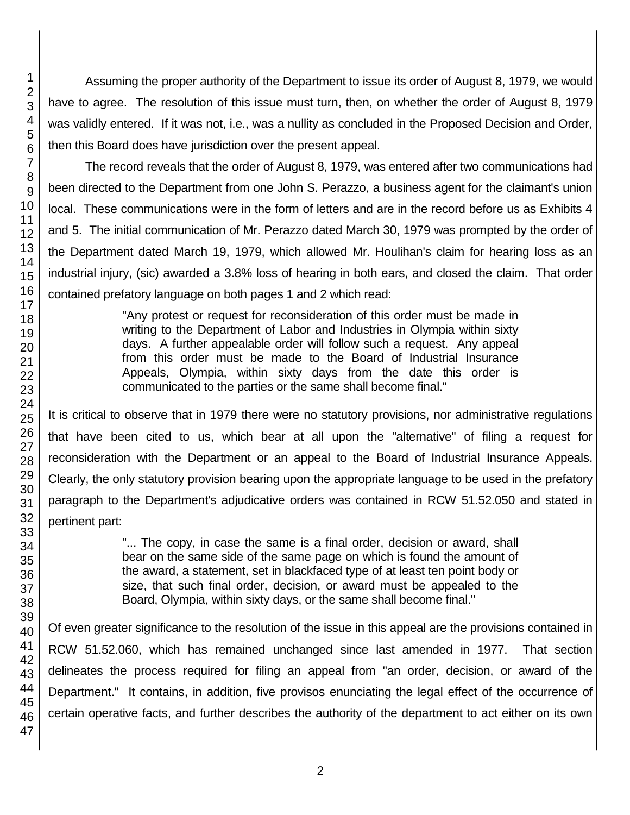Assuming the proper authority of the Department to issue its order of August 8, 1979, we would have to agree. The resolution of this issue must turn, then, on whether the order of August 8, 1979 was validly entered. If it was not, i.e., was a nullity as concluded in the Proposed Decision and Order, then this Board does have jurisdiction over the present appeal.

The record reveals that the order of August 8, 1979, was entered after two communications had been directed to the Department from one John S. Perazzo, a business agent for the claimant's union local. These communications were in the form of letters and are in the record before us as Exhibits 4 and 5. The initial communication of Mr. Perazzo dated March 30, 1979 was prompted by the order of the Department dated March 19, 1979, which allowed Mr. Houlihan's claim for hearing loss as an industrial injury, (sic) awarded a 3.8% loss of hearing in both ears, and closed the claim. That order contained prefatory language on both pages 1 and 2 which read:

> "Any protest or request for reconsideration of this order must be made in writing to the Department of Labor and Industries in Olympia within sixty days. A further appealable order will follow such a request. Any appeal from this order must be made to the Board of Industrial Insurance Appeals, Olympia, within sixty days from the date this order is communicated to the parties or the same shall become final."

It is critical to observe that in 1979 there were no statutory provisions, nor administrative regulations that have been cited to us, which bear at all upon the "alternative" of filing a request for reconsideration with the Department or an appeal to the Board of Industrial Insurance Appeals. Clearly, the only statutory provision bearing upon the appropriate language to be used in the prefatory paragraph to the Department's adjudicative orders was contained in RCW 51.52.050 and stated in pertinent part:

> "... The copy, in case the same is a final order, decision or award, shall bear on the same side of the same page on which is found the amount of the award, a statement, set in blackfaced type of at least ten point body or size, that such final order, decision, or award must be appealed to the Board, Olympia, within sixty days, or the same shall become final."

Of even greater significance to the resolution of the issue in this appeal are the provisions contained in RCW 51.52.060, which has remained unchanged since last amended in 1977. That section delineates the process required for filing an appeal from "an order, decision, or award of the Department." It contains, in addition, five provisos enunciating the legal effect of the occurrence of certain operative facts, and further describes the authority of the department to act either on its own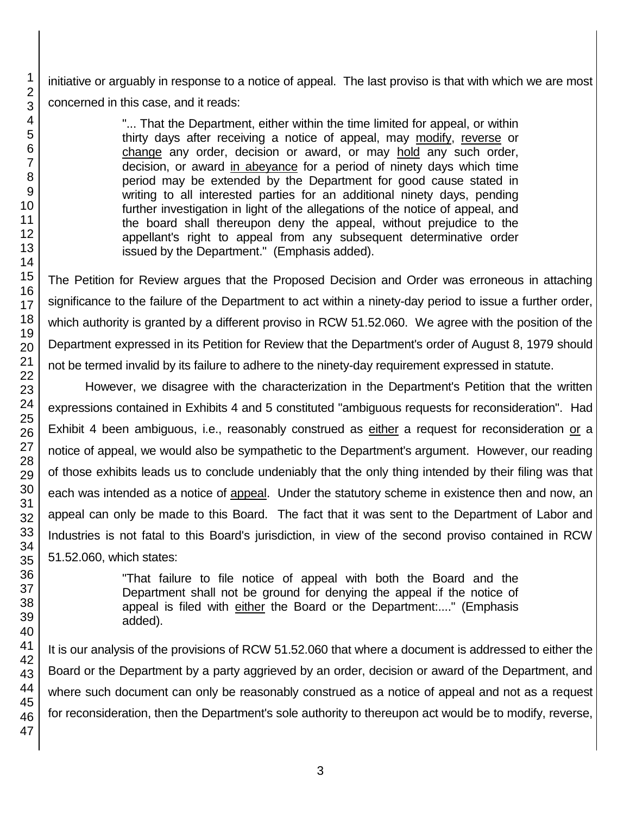initiative or arguably in response to a notice of appeal. The last proviso is that with which we are most concerned in this case, and it reads:

> "... That the Department, either within the time limited for appeal, or within thirty days after receiving a notice of appeal, may modify, reverse or change any order, decision or award, or may hold any such order, decision, or award in abeyance for a period of ninety days which time period may be extended by the Department for good cause stated in writing to all interested parties for an additional ninety days, pending further investigation in light of the allegations of the notice of appeal, and the board shall thereupon deny the appeal, without prejudice to the appellant's right to appeal from any subsequent determinative order issued by the Department." (Emphasis added).

The Petition for Review argues that the Proposed Decision and Order was erroneous in attaching significance to the failure of the Department to act within a ninety-day period to issue a further order, which authority is granted by a different proviso in RCW 51.52.060. We agree with the position of the Department expressed in its Petition for Review that the Department's order of August 8, 1979 should not be termed invalid by its failure to adhere to the ninety-day requirement expressed in statute.

However, we disagree with the characterization in the Department's Petition that the written expressions contained in Exhibits 4 and 5 constituted "ambiguous requests for reconsideration". Had Exhibit 4 been ambiguous, i.e., reasonably construed as either a request for reconsideration or a notice of appeal, we would also be sympathetic to the Department's argument. However, our reading of those exhibits leads us to conclude undeniably that the only thing intended by their filing was that each was intended as a notice of appeal. Under the statutory scheme in existence then and now, an appeal can only be made to this Board. The fact that it was sent to the Department of Labor and Industries is not fatal to this Board's jurisdiction, in view of the second proviso contained in RCW 51.52.060, which states:

> "That failure to file notice of appeal with both the Board and the Department shall not be ground for denying the appeal if the notice of appeal is filed with either the Board or the Department:...." (Emphasis added).

It is our analysis of the provisions of RCW 51.52.060 that where a document is addressed to either the Board or the Department by a party aggrieved by an order, decision or award of the Department, and where such document can only be reasonably construed as a notice of appeal and not as a request for reconsideration, then the Department's sole authority to thereupon act would be to modify, reverse,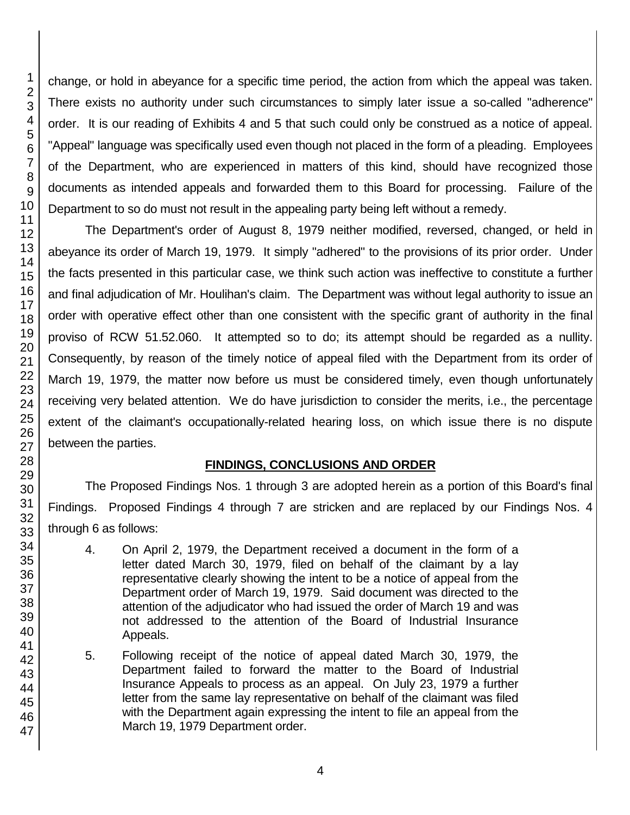change, or hold in abeyance for a specific time period, the action from which the appeal was taken. There exists no authority under such circumstances to simply later issue a so-called "adherence" order. It is our reading of Exhibits 4 and 5 that such could only be construed as a notice of appeal. "Appeal" language was specifically used even though not placed in the form of a pleading. Employees of the Department, who are experienced in matters of this kind, should have recognized those documents as intended appeals and forwarded them to this Board for processing. Failure of the Department to so do must not result in the appealing party being left without a remedy.

The Department's order of August 8, 1979 neither modified, reversed, changed, or held in abeyance its order of March 19, 1979. It simply "adhered" to the provisions of its prior order. Under the facts presented in this particular case, we think such action was ineffective to constitute a further and final adjudication of Mr. Houlihan's claim. The Department was without legal authority to issue an order with operative effect other than one consistent with the specific grant of authority in the final proviso of RCW 51.52.060. It attempted so to do; its attempt should be regarded as a nullity. Consequently, by reason of the timely notice of appeal filed with the Department from its order of March 19, 1979, the matter now before us must be considered timely, even though unfortunately receiving very belated attention. We do have jurisdiction to consider the merits, i.e., the percentage extent of the claimant's occupationally-related hearing loss, on which issue there is no dispute between the parties.

# **FINDINGS, CONCLUSIONS AND ORDER**

The Proposed Findings Nos. 1 through 3 are adopted herein as a portion of this Board's final Findings. Proposed Findings 4 through 7 are stricken and are replaced by our Findings Nos. 4 through 6 as follows:

- 4. On April 2, 1979, the Department received a document in the form of a letter dated March 30, 1979, filed on behalf of the claimant by a lay representative clearly showing the intent to be a notice of appeal from the Department order of March 19, 1979. Said document was directed to the attention of the adjudicator who had issued the order of March 19 and was not addressed to the attention of the Board of Industrial Insurance Appeals.
- 5. Following receipt of the notice of appeal dated March 30, 1979, the Department failed to forward the matter to the Board of Industrial Insurance Appeals to process as an appeal. On July 23, 1979 a further letter from the same lay representative on behalf of the claimant was filed with the Department again expressing the intent to file an appeal from the March 19, 1979 Department order.